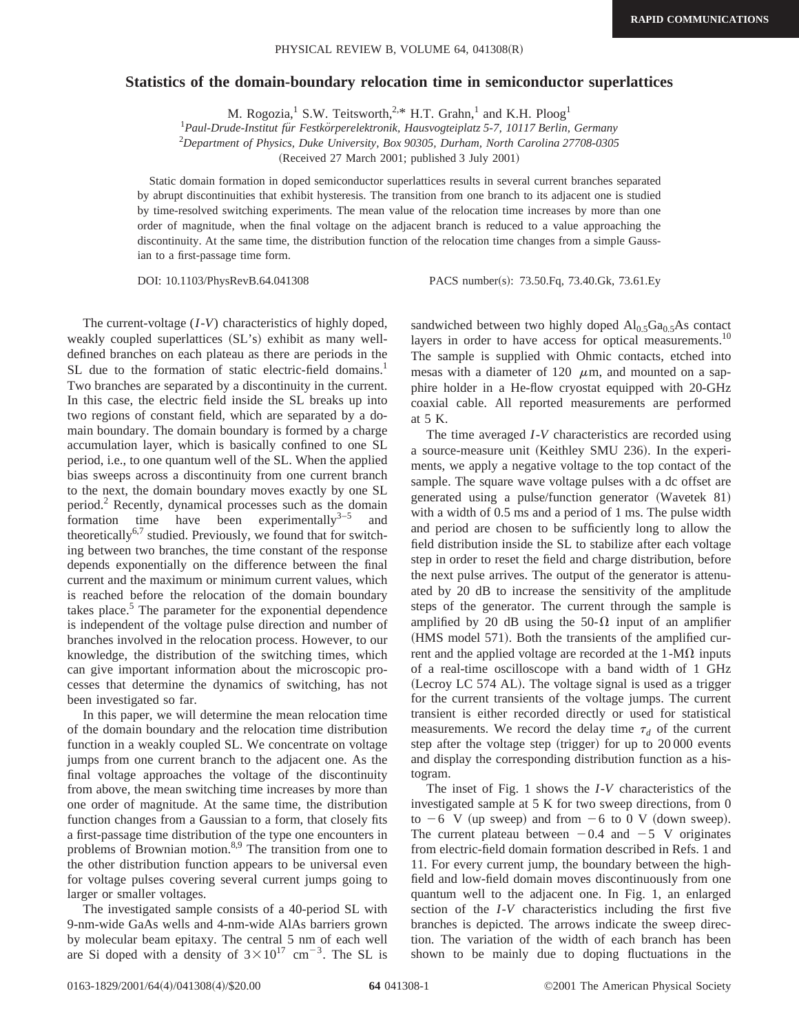## **Statistics of the domain-boundary relocation time in semiconductor superlattices**

M. Rogozia,<sup>1</sup> S.W. Teitsworth,<sup>2,\*</sup> H.T. Grahn,<sup>1</sup> and K.H. Ploog<sup>1</sup>

<sup>1</sup> Paul-Drude-Institut für Festkörperelektronik, Hausvogteiplatz 5-7, 10117 Berlin, Germany 2 *Department of Physics, Duke University, Box 90305, Durham, North Carolina 27708-0305*

(Received 27 March 2001; published 3 July 2001)

Static domain formation in doped semiconductor superlattices results in several current branches separated by abrupt discontinuities that exhibit hysteresis. The transition from one branch to its adjacent one is studied by time-resolved switching experiments. The mean value of the relocation time increases by more than one order of magnitude, when the final voltage on the adjacent branch is reduced to a value approaching the discontinuity. At the same time, the distribution function of the relocation time changes from a simple Gaussian to a first-passage time form.

DOI: 10.1103/PhysRevB.64.041308 PACS number(s): 73.50.Fq, 73.40.Gk, 73.61.Ey

The current-voltage (*I*-*V*) characteristics of highly doped, weakly coupled superlattices  $(SL's)$  exhibit as many welldefined branches on each plateau as there are periods in the SL due to the formation of static electric-field domains.<sup>1</sup> Two branches are separated by a discontinuity in the current. In this case, the electric field inside the SL breaks up into two regions of constant field, which are separated by a domain boundary. The domain boundary is formed by a charge accumulation layer, which is basically confined to one SL period, i.e., to one quantum well of the SL. When the applied bias sweeps across a discontinuity from one current branch to the next, the domain boundary moves exactly by one SL period.2 Recently, dynamical processes such as the domain formation time have been experimentally<sup>3–5</sup> and theoretically<sup>6,7</sup> studied. Previously, we found that for switching between two branches, the time constant of the response depends exponentially on the difference between the final current and the maximum or minimum current values, which is reached before the relocation of the domain boundary takes place. $5$  The parameter for the exponential dependence is independent of the voltage pulse direction and number of branches involved in the relocation process. However, to our knowledge, the distribution of the switching times, which can give important information about the microscopic processes that determine the dynamics of switching, has not been investigated so far.

In this paper, we will determine the mean relocation time of the domain boundary and the relocation time distribution function in a weakly coupled SL. We concentrate on voltage jumps from one current branch to the adjacent one. As the final voltage approaches the voltage of the discontinuity from above, the mean switching time increases by more than one order of magnitude. At the same time, the distribution function changes from a Gaussian to a form, that closely fits a first-passage time distribution of the type one encounters in problems of Brownian motion. $8.9$  The transition from one to the other distribution function appears to be universal even for voltage pulses covering several current jumps going to larger or smaller voltages.

The investigated sample consists of a 40-period SL with 9-nm-wide GaAs wells and 4-nm-wide AlAs barriers grown by molecular beam epitaxy. The central 5 nm of each well are Si doped with a density of  $3 \times 10^{17}$  cm<sup>-3</sup>. The SL is

sandwiched between two highly doped  $\text{Al}_{0.5}\text{Ga}_{0.5}\text{As}$  contact layers in order to have access for optical measurements.<sup>10</sup> The sample is supplied with Ohmic contacts, etched into mesas with a diameter of 120  $\mu$ m, and mounted on a sapphire holder in a He-flow cryostat equipped with 20-GHz coaxial cable. All reported measurements are performed at 5 K.

The time averaged *I*-*V* characteristics are recorded using a source-measure unit (Keithley SMU 236). In the experiments, we apply a negative voltage to the top contact of the sample. The square wave voltage pulses with a dc offset are generated using a pulse/function generator (Wavetek 81) with a width of 0.5 ms and a period of 1 ms. The pulse width and period are chosen to be sufficiently long to allow the field distribution inside the SL to stabilize after each voltage step in order to reset the field and charge distribution, before the next pulse arrives. The output of the generator is attenuated by 20 dB to increase the sensitivity of the amplitude steps of the generator. The current through the sample is amplified by 20 dB using the 50- $\Omega$  input of an amplifier (HMS model 571). Both the transients of the amplified current and the applied voltage are recorded at the  $1-M\Omega$  inputs of a real-time oscilloscope with a band width of 1 GHz (Lecroy LC 574 AL). The voltage signal is used as a trigger for the current transients of the voltage jumps. The current transient is either recorded directly or used for statistical measurements. We record the delay time  $\tau_d$  of the current step after the voltage step (trigger) for up to  $20000$  events and display the corresponding distribution function as a histogram.

The inset of Fig. 1 shows the *I*-*V* characteristics of the investigated sample at 5 K for two sweep directions, from 0 to  $-6$  V (up sweep) and from  $-6$  to 0 V (down sweep). The current plateau between  $-0.4$  and  $-5$  V originates from electric-field domain formation described in Refs. 1 and 11. For every current jump, the boundary between the highfield and low-field domain moves discontinuously from one quantum well to the adjacent one. In Fig. 1, an enlarged section of the *I*-*V* characteristics including the first five branches is depicted. The arrows indicate the sweep direction. The variation of the width of each branch has been shown to be mainly due to doping fluctuations in the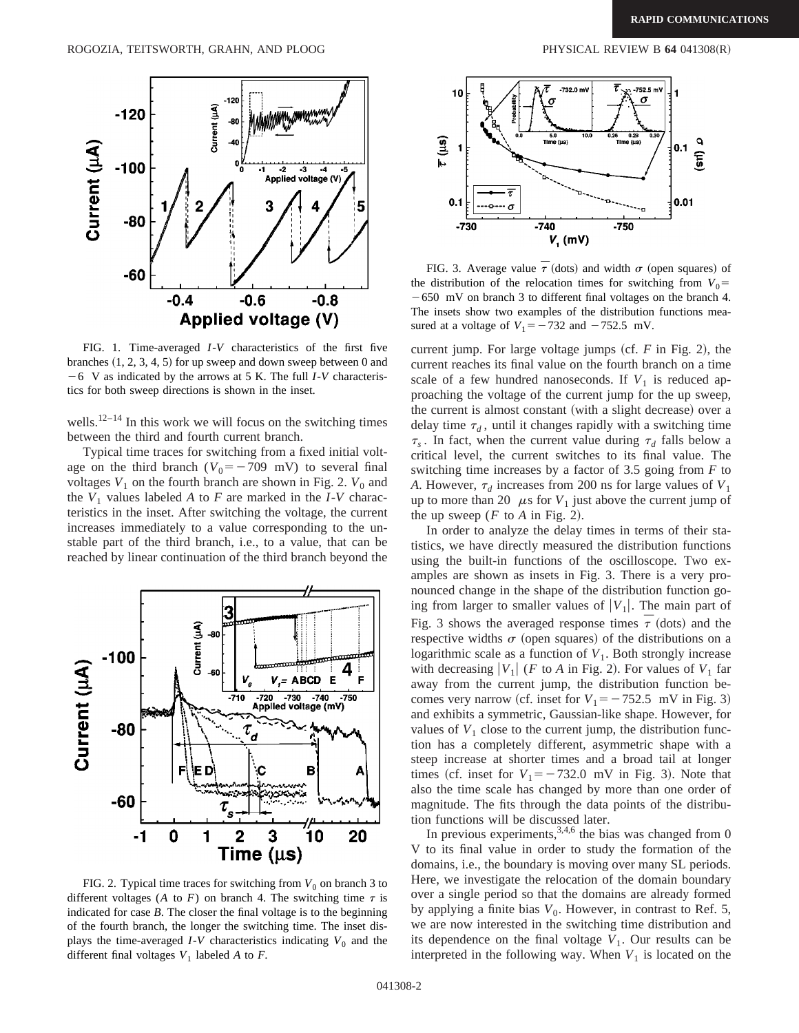

FIG. 1. Time-averaged *I*-*V* characteristics of the first five branches  $(1, 2, 3, 4, 5)$  for up sweep and down sweep between 0 and  $-6$  V as indicated by the arrows at 5 K. The full *I*-*V* characteristics for both sweep directions is shown in the inset.

wells.<sup>12–14</sup> In this work we will focus on the switching times between the third and fourth current branch.

Typical time traces for switching from a fixed initial voltage on the third branch ( $V_0 = -709$  mV) to several final voltages  $V_1$  on the fourth branch are shown in Fig. 2.  $V_0$  and the  $V_1$  values labeled A to F are marked in the *I*-*V* characteristics in the inset. After switching the voltage, the current increases immediately to a value corresponding to the unstable part of the third branch, i.e., to a value, that can be reached by linear continuation of the third branch beyond the



FIG. 2. Typical time traces for switching from  $V_0$  on branch 3 to different voltages (*A* to *F*) on branch 4. The switching time  $\tau$  is indicated for case *B*. The closer the final voltage is to the beginning of the fourth branch, the longer the switching time. The inset displays the time-averaged  $I-V$  characteristics indicating  $V_0$  and the different final voltages  $V_1$  labeled  $A$  to  $F$ .



FIG. 3. Average value  $\bar{\tau}$  (dots) and width  $\sigma$  (open squares) of the distribution of the relocation times for switching from  $V_0$ =  $-650$  mV on branch 3 to different final voltages on the branch 4. The insets show two examples of the distribution functions measured at a voltage of  $V_1 = -732$  and  $-752.5$  mV.

current jump. For large voltage jumps  $(cf. F in Fig. 2)$ , the current reaches its final value on the fourth branch on a time scale of a few hundred nanoseconds. If  $V_1$  is reduced approaching the voltage of the current jump for the up sweep, the current is almost constant (with a slight decrease) over a delay time  $\tau_d$ , until it changes rapidly with a switching time  $\tau_s$ . In fact, when the current value during  $\tau_d$  falls below a critical level, the current switches to its final value. The switching time increases by a factor of 3.5 going from *F* to *A*. However,  $\tau_d$  increases from 200 ns for large values of  $V_1$ up to more than 20  $\mu$ s for  $V_1$  just above the current jump of the up sweep  $(F$  to  $A$  in Fig. 2).

In order to analyze the delay times in terms of their statistics, we have directly measured the distribution functions using the built-in functions of the oscilloscope. Two examples are shown as insets in Fig. 3. There is a very pronounced change in the shape of the distribution function going from larger to smaller values of  $|V_1|$ . The main part of Fig. 3 shows the averaged response times  $\overline{\tau}$  (dots) and the respective widths  $\sigma$  (open squares) of the distributions on a logarithmic scale as a function of  $V_1$ . Both strongly increase with decreasing  $|V_1|$  (*F* to *A* in Fig. 2). For values of  $V_1$  far away from the current jump, the distribution function becomes very narrow (cf. inset for  $V_1 = -752.5$  mV in Fig. 3) and exhibits a symmetric, Gaussian-like shape. However, for values of  $V_1$  close to the current jump, the distribution function has a completely different, asymmetric shape with a steep increase at shorter times and a broad tail at longer times (cf. inset for  $V_1 = -732.0$  mV in Fig. 3). Note that also the time scale has changed by more than one order of magnitude. The fits through the data points of the distribution functions will be discussed later.

In previous experiments,  $3,4,6$  the bias was changed from 0 V to its final value in order to study the formation of the domains, i.e., the boundary is moving over many SL periods. Here, we investigate the relocation of the domain boundary over a single period so that the domains are already formed by applying a finite bias  $V_0$ . However, in contrast to Ref. 5, we are now interested in the switching time distribution and its dependence on the final voltage  $V_1$ . Our results can be interpreted in the following way. When  $V_1$  is located on the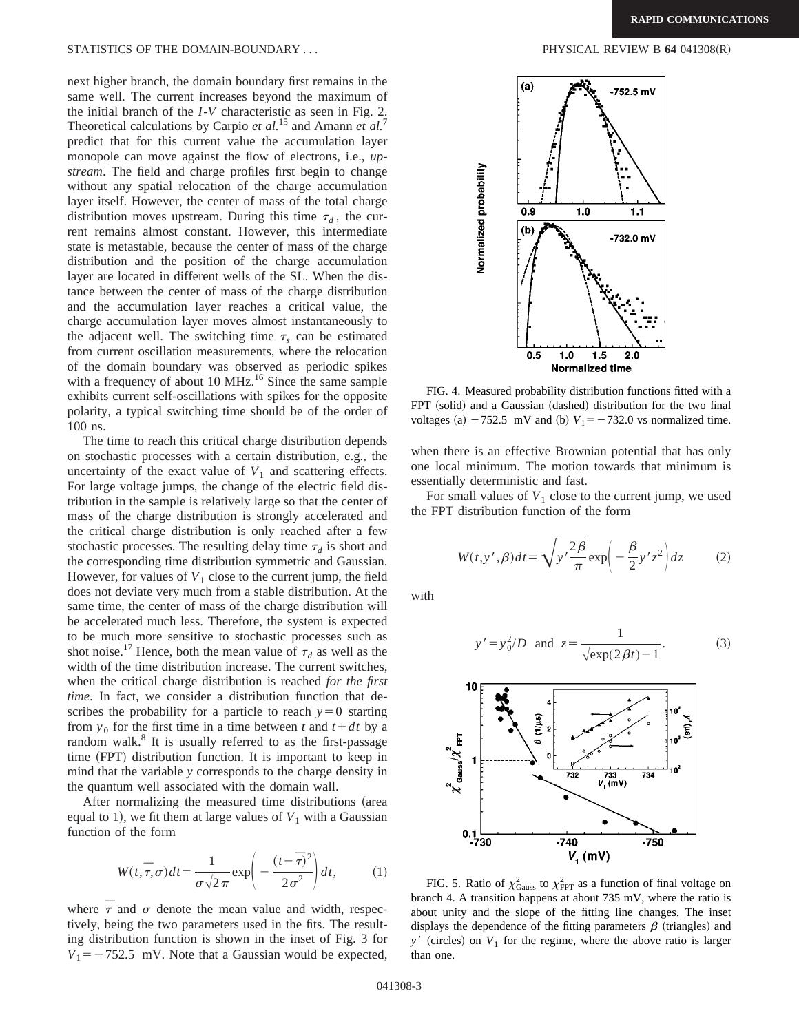next higher branch, the domain boundary first remains in the same well. The current increases beyond the maximum of the initial branch of the *I*-*V* characteristic as seen in Fig. 2. Theoretical calculations by Carpio *et al.*<sup>15</sup> and Amann *et al.*<sup>7</sup> predict that for this current value the accumulation layer monopole can move against the flow of electrons, i.e., *upstream*. The field and charge profiles first begin to change without any spatial relocation of the charge accumulation layer itself. However, the center of mass of the total charge distribution moves upstream. During this time  $\tau_d$ , the current remains almost constant. However, this intermediate state is metastable, because the center of mass of the charge distribution and the position of the charge accumulation layer are located in different wells of the SL. When the distance between the center of mass of the charge distribution and the accumulation layer reaches a critical value, the charge accumulation layer moves almost instantaneously to the adjacent well. The switching time  $\tau_s$  can be estimated from current oscillation measurements, where the relocation of the domain boundary was observed as periodic spikes with a frequency of about 10 MHz.<sup>16</sup> Since the same sample exhibits current self-oscillations with spikes for the opposite polarity, a typical switching time should be of the order of 100 ns.

The time to reach this critical charge distribution depends on stochastic processes with a certain distribution, e.g., the uncertainty of the exact value of  $V_1$  and scattering effects. For large voltage jumps, the change of the electric field distribution in the sample is relatively large so that the center of mass of the charge distribution is strongly accelerated and the critical charge distribution is only reached after a few stochastic processes. The resulting delay time  $\tau_d$  is short and the corresponding time distribution symmetric and Gaussian. However, for values of  $V_1$  close to the current jump, the field does not deviate very much from a stable distribution. At the same time, the center of mass of the charge distribution will be accelerated much less. Therefore, the system is expected to be much more sensitive to stochastic processes such as shot noise.<sup>17</sup> Hence, both the mean value of  $\tau_d$  as well as the width of the time distribution increase. The current switches, when the critical charge distribution is reached *for the first time*. In fact, we consider a distribution function that describes the probability for a particle to reach  $y=0$  starting from  $y_0$  for the first time in a time between *t* and  $t + dt$  by a random walk. $8$  It is usually referred to as the first-passage time (FPT) distribution function. It is important to keep in mind that the variable *y* corresponds to the charge density in the quantum well associated with the domain wall.

After normalizing the measured time distributions (area equal to 1), we fit them at large values of  $V_1$  with a Gaussian function of the form

$$
W(t, \overline{\tau}, \sigma)dt = \frac{1}{\sigma\sqrt{2\pi}}\exp\left(-\frac{(t-\overline{\tau})^2}{2\sigma^2}\right)dt,\tag{1}
$$

where  $\bar{\tau}$  and  $\sigma$  denote the mean value and width, respectively, being the two parameters used in the fits. The resulting distribution function is shown in the inset of Fig. 3 for  $V_1 = -752.5$  mV. Note that a Gaussian would be expected,



FIG. 4. Measured probability distribution functions fitted with a FPT (solid) and a Gaussian (dashed) distribution for the two final voltages (a)  $-752.5$  mV and (b)  $V_1 = -732.0$  vs normalized time.

when there is an effective Brownian potential that has only one local minimum. The motion towards that minimum is essentially deterministic and fast.

For small values of  $V_1$  close to the current jump, we used the FPT distribution function of the form

$$
W(t, y', \beta)dt = \sqrt{y'\frac{2\beta}{\pi}} \exp\left(-\frac{\beta}{2}y'z^2\right)dz
$$
 (2)

with

$$
y' = y_0^2/D
$$
 and  $z = \frac{1}{\sqrt{\exp(2\beta t) - 1}}$ . (3)



FIG. 5. Ratio of  $\chi^2_{\text{Gauss}}$  to  $\chi^2_{\text{FPT}}$  as a function of final voltage on branch 4. A transition happens at about 735 mV, where the ratio is about unity and the slope of the fitting line changes. The inset displays the dependence of the fitting parameters  $\beta$  (triangles) and  $y'$  (circles) on  $V_1$  for the regime, where the above ratio is larger than one.